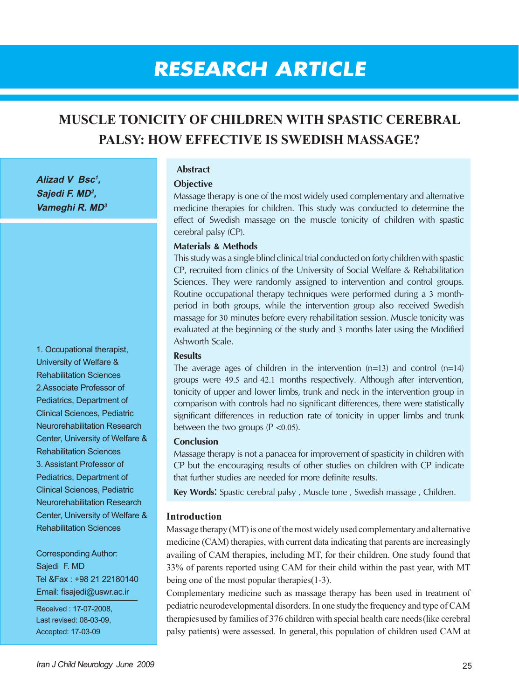# **RESEARCH ARTICLE**

# **MUSCLE TONICITY OF CHILDREN WITH SPASTIC CEREBRAL PALSY: HOW EFFECTIVE IS SWEDISH MASSAGE?**

**Alizad V Bsc<sup>1</sup>, Sajedi F. MD<sup>2</sup>, Vameghi R. MD<sup>3</sup>**

1. Occupational therapist, University of Welfare & Rehabilitation Sciences 2.Associate Professor of Pediatrics, Department of Clinical Sciences, Pediatric Neurorehabilitation Research Center, University of Welfare & Rehabilitation Sciences 3. Assistant Professor of Pediatrics, Department of Clinical Sciences, Pediatric Neurorehabilitation Research Center, University of Welfare & Rehabilitation Sciences

Corresponding Author: Sajedi F. MD Tel &Fax : +98 21 22180140 Email: fisajedi@uswr.ac.ir

Received : 17-07-2008, Last revised: 08-03-09, Accepted: 17-03-09

# **Abstract**

# **Objective**

Massage therapy is one of the most widely used complementary and alternative medicine therapies for children. This study was conducted to determine the effect of Swedish massage on the muscle tonicity of children with spastic cerebral palsy (CP).

# **Materials & Methods**

This study was a single blind clinical trial conducted on forty children with spastic CP, recruited from clinics of the University of Social Welfare & Rehabilitation Sciences. They were randomly assigned to intervention and control groups. Routine occupational therapy techniques were performed during a 3 monthperiod in both groups, while the intervention group also received Swedish massage for 30 minutes before every rehabilitation session. Muscle tonicity was evaluated at the beginning of the study and 3 months later using the Modified Ashworth Scale.

#### **Results**

The average ages of children in the intervention  $(n=13)$  and control  $(n=14)$ groups were 49.5 and 42.1 months respectively. Although after intervention, tonicity of upper and lower limbs, trunk and neck in the intervention group in comparison with controls had no significant differences, there were statistically significant differences in reduction rate of tonicity in upper limbs and trunk between the two groups ( $P < 0.05$ ).

#### **Conclusion**

Massage therapy is not a panacea for improvement of spasticity in children with CP but the encouraging results of other studies on children with CP indicate that further studies are needed for more definite results.

**Key Words:** Spastic cerebral palsy , Muscle tone , Swedish massage , Children.

#### **Introduction**

Massage therapy (MT) is one of the most widely used complementary and alternative medicine (CAM) therapies, with current data indicating that parents are increasingly availing of CAM therapies, including MT, for their children. One study found that 33% of parents reported using CAM for their child within the past year, with MT being one of the most popular therapies(1-3).

Complementary medicine such as massage therapy has been used in treatment of pediatric neurodevelopmental disorders. In one studythe frequency and type of CAM therapiesused by families of 376 children with special health care needs(like cerebral palsy patients) were assessed. In general, this population of children used CAM at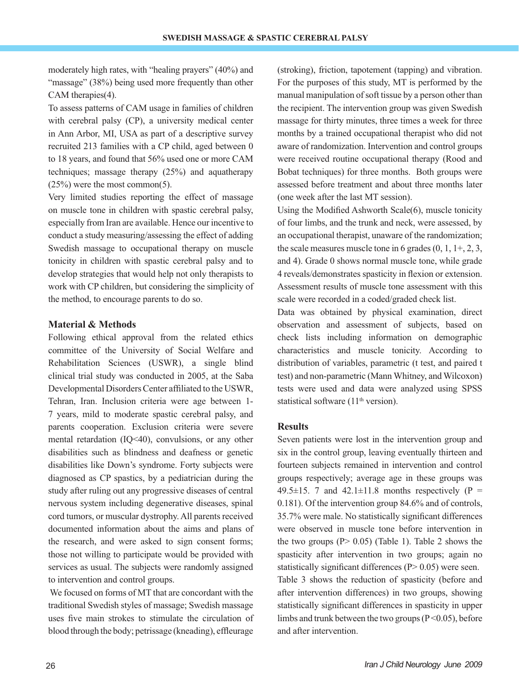moderately high rates, with "healing prayers" (40%) and "massage" (38%) being used more frequently than other CAM therapies(4).

To assess patterns of CAM usage in families of children with cerebral palsy (CP), a university medical center in Ann Arbor, MI, USA as part of a descriptive survey recruited 213 families with a CP child, aged between 0 to 18 years, and found that 56% used one or more CAM techniques; massage therapy (25%) and aquatherapy  $(25\%)$  were the most common(5).

Very limited studies reporting the effect of massage on muscle tone in children with spastic cerebral palsy, especially from Iran are available. Hence our incentive to conduct a study measuring/assessing the effect of adding Swedish massage to occupational therapy on muscle tonicity in children with spastic cerebral palsy and to develop strategies that would help not only therapists to work with CP children, but considering the simplicity of the method, to encourage parents to do so.

# **Material & Methods**

Following ethical approval from the related ethics committee of the University of Social Welfare and Rehabilitation Sciences (USWR), a single blind clinical trial study was conducted in 2005, at the Saba Developmental Disorders Center affiliated to the USWR, Tehran, Iran. Inclusion criteria were age between 1- 7 years, mild to moderate spastic cerebral palsy, and parents cooperation. Exclusion criteria were severe mental retardation (IQ<40), convulsions, or any other disabilities such as blindness and deafness or genetic disabilities like Down's syndrome. Forty subjects were diagnosed as CP spastics, by a pediatrician during the study after ruling out any progressive diseases of central nervous system including degenerative diseases, spinal cord tumors, or muscular dystrophy. All parents received documented information about the aims and plans of the research, and were asked to sign consent forms; those not willing to participate would be provided with services as usual. The subjects were randomly assigned to intervention and control groups.

 We focused on forms of MT that are concordant with the traditional Swedish styles of massage; Swedish massage uses five main strokes to stimulate the circulation of blood through the body; petrissage (kneading), effleurage

(stroking), friction, tapotement (tapping) and vibration. For the purposes of this study, MT is performed by the manual manipulation of soft tissue by a person other than the recipient. The intervention group was given Swedish massage for thirty minutes, three times a week for three months by a trained occupational therapist who did not aware of randomization. Intervention and control groups were received routine occupational therapy (Rood and Bobat techniques) for three months. Both groups were assessed before treatment and about three months later (one week after the last MT session).

Using the Modified Ashworth Scale(6), muscle tonicity of four limbs, and the trunk and neck, were assessed, by an occupational therapist, unaware of the randomization; the scale measures muscle tone in 6 grades  $(0, 1, 1+, 2, 3, 1)$ and 4). Grade 0 shows normal muscle tone, while grade 4 reveals/demonstrates spasticity in flexion or extension. Assessment results of muscle tone assessment with this scale were recorded in a coded/graded check list.

Data was obtained by physical examination, direct observation and assessment of subjects, based on check lists including information on demographic characteristics and muscle tonicity. According to distribution of variables, parametric (t test, and paired t test) and non-parametric (Mann Whitney, and Wilcoxon) tests were used and data were analyzed using SPSS statistical software  $(11<sup>th</sup>$  version).

#### **Results**

Seven patients were lost in the intervention group and six in the control group, leaving eventually thirteen and fourteen subjects remained in intervention and control groups respectively; average age in these groups was 49.5 $\pm$ 15. 7 and 42.1 $\pm$ 11.8 months respectively (P = 0.181). Of the intervention group 84.6% and of controls, 35.7% were male. No statistically significant differences were observed in muscle tone before intervention in the two groups  $(P> 0.05)$  (Table 1). Table 2 shows the spasticity after intervention in two groups; again no statistically significant differences  $(P > 0.05)$  were seen. Table 3 shows the reduction of spasticity (before and after intervention differences) in two groups, showing statistically significant differences in spasticity in upper limbs and trunk between the two groups (P <0.05), before and after intervention.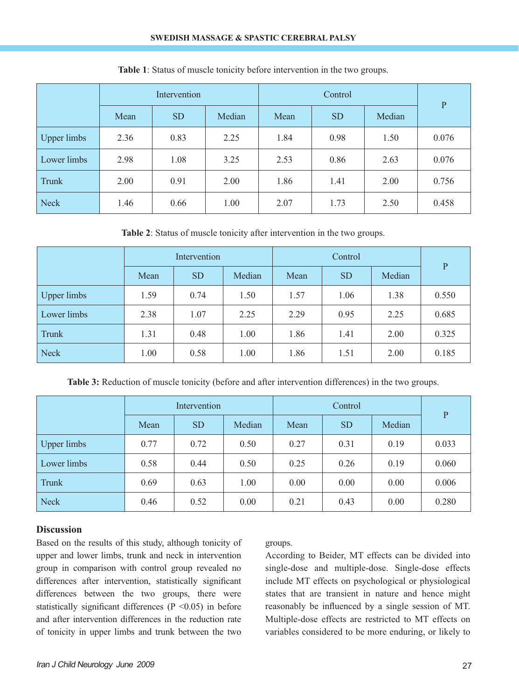#### **SWEDISH MASSAGE & SPASTIC CEREBRAL PALSY**

|                    | Intervention |           |        |      |           |        |              |
|--------------------|--------------|-----------|--------|------|-----------|--------|--------------|
|                    | Mean         | <b>SD</b> | Median | Mean | <b>SD</b> | Median | $\mathbf{P}$ |
| <b>Upper limbs</b> | 2.36         | 0.83      | 2.25   | 1.84 | 0.98      | 1.50   | 0.076        |
| Lower limbs        | 2.98         | 1.08      | 3.25   | 2.53 | 0.86      | 2.63   | 0.076        |
| <b>Trunk</b>       | 2.00         | 0.91      | 2.00   | 1.86 | 1.41      | 2.00   | 0.756        |
| <b>Neck</b>        | 1.46         | 0.66      | 1.00   | 2.07 | 1.73      | 2.50   | 0.458        |

**Table 1**: Status of muscle tonicity before intervention in the two groups.

**Table 2**: Status of muscle tonicity after intervention in the two groups.

|                    | Intervention |           |        | Control |           |        | $\mathbf{P}$ |
|--------------------|--------------|-----------|--------|---------|-----------|--------|--------------|
|                    | Mean         | <b>SD</b> | Median | Mean    | <b>SD</b> | Median |              |
| <b>Upper limbs</b> | 1.59         | 0.74      | 1.50   | 1.57    | 1.06      | 1.38   | 0.550        |
| Lower limbs        | 2.38         | 1.07      | 2.25   | 2.29    | 0.95      | 2.25   | 0.685        |
| <b>Trunk</b>       | 1.31         | 0.48      | 1.00   | 1.86    | 1.41      | 2.00   | 0.325        |
| <b>Neck</b>        | 1.00         | 0.58      | 1.00   | 1.86    | 1.51      | 2.00   | 0.185        |

**Table 3:** Reduction of muscle tonicity (before and after intervention differences) in the two groups.

|                    |      | Intervention |        | Control |           |        | $\mathbf{P}$ |
|--------------------|------|--------------|--------|---------|-----------|--------|--------------|
|                    | Mean | <b>SD</b>    | Median | Mean    | <b>SD</b> | Median |              |
| <b>Upper limbs</b> | 0.77 | 0.72         | 0.50   | 0.27    | 0.31      | 0.19   | 0.033        |
| Lower limbs        | 0.58 | 0.44         | 0.50   | 0.25    | 0.26      | 0.19   | 0.060        |
| <b>Trunk</b>       | 0.69 | 0.63         | 1.00   | 0.00    | 0.00      | 0.00   | 0.006        |
| <b>Neck</b>        | 0.46 | 0.52         | 0.00   | 0.21    | 0.43      | 0.00   | 0.280        |

# **Discussion**

Based on the results of this study, although tonicity of upper and lower limbs, trunk and neck in intervention group in comparison with control group revealed no differences after intervention, statistically significant differences between the two groups, there were statistically significant differences  $(P \le 0.05)$  in before and after intervention differences in the reduction rate of tonicity in upper limbs and trunk between the two

groups.

According to Beider, MT effects can be divided into single-dose and multiple-dose. Single-dose effects include MT effects on psychological or physiological states that are transient in nature and hence might reasonably be influenced by a single session of MT. Multiple-dose effects are restricted to MT effects on variables considered to be more enduring, or likely to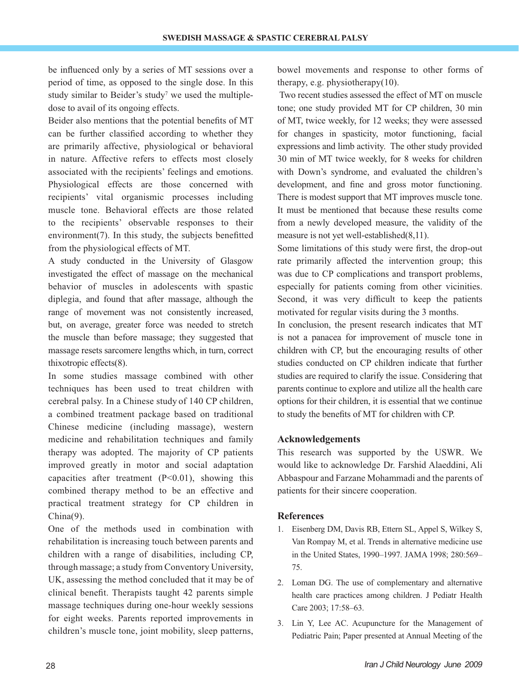be influenced only by a series of MT sessions over a period of time, as opposed to the single dose. In this study similar to Beider's study<sup>7</sup> we used the multipledose to avail of its ongoing effects.

Beider also mentions that the potential benefits of MT can be further classified according to whether they are primarily affective, physiological or behavioral in nature. Affective refers to effects most closely associated with the recipients' feelings and emotions. Physiological effects are those concerned with recipients' vital organismic processes including muscle tone. Behavioral effects are those related to the recipients' observable responses to their environment(7). In this study, the subjects benefitted from the physiological effects of MT.

A study conducted in the University of Glasgow investigated the effect of massage on the mechanical behavior of muscles in adolescents with spastic diplegia, and found that after massage, although the range of movement was not consistently increased, but, on average, greater force was needed to stretch the muscle than before massage; they suggested that massage resets sarcomere lengths which, in turn, correct thixotropic effects(8).

In some studies massage combined with other techniques has been used to treat children with cerebral palsy. In a Chinese study of 140 CP children, a combined treatment package based on traditional Chinese medicine (including massage), western medicine and rehabilitation techniques and family therapy was adopted. The majority of CP patients improved greatly in motor and social adaptation capacities after treatment  $(P<0.01)$ , showing this combined therapy method to be an effective and practical treatment strategy for CP children in China(9).

One of the methods used in combination with rehabilitation is increasing touch between parents and children with a range of disabilities, including CP, through massage; a study from Conventory University, UK, assessing the method concluded that it may be of clinical benefit. Therapists taught 42 parents simple massage techniques during one-hour weekly sessions for eight weeks. Parents reported improvements in children's muscle tone, joint mobility, sleep patterns,

bowel movements and response to other forms of therapy, e.g. physiotherapy(10).

 Two recent studies assessed the effect of MT on muscle tone; one study provided MT for CP children, 30 min of MT, twice weekly, for 12 weeks; they were assessed for changes in spasticity, motor functioning, facial expressions and limb activity. The other study provided 30 min of MT twice weekly, for 8 weeks for children with Down's syndrome, and evaluated the children's development, and fine and gross motor functioning. There is modest support that MT improves muscle tone. It must be mentioned that because these results come from a newly developed measure, the validity of the measure is not yet well-established(8,11).

Some limitations of this study were first, the drop-out rate primarily affected the intervention group; this was due to CP complications and transport problems, especially for patients coming from other vicinities. Second, it was very difficult to keep the patients motivated for regular visits during the 3 months.

In conclusion, the present research indicates that MT is not a panacea for improvement of muscle tone in children with CP, but the encouraging results of other studies conducted on CP children indicate that further studies are required to clarify the issue. Considering that parents continue to explore and utilize all the health care options for their children, it is essential that we continue to study the benefits of MT for children with CP.

# **Acknowledgements**

This research was supported by the USWR. We would like to acknowledge Dr. Farshid Alaeddini, Ali Abbaspour and Farzane Mohammadi and the parents of patients for their sincere cooperation.

# **References**

- 1. Eisenberg DM, Davis RB, Ettern SL, Appel S, Wilkey S, Van Rompay M, et al. Trends in alternative medicine use in the United States, 1990–1997. JAMA 1998; 280:569– 75.
- 2. Loman DG. The use of complementary and alternative health care practices among children. J Pediatr Health Care 2003; 17:58–63.
- 3. Lin Y, Lee AC. Acupuncture for the Management of Pediatric Pain; Paper presented at Annual Meeting of the